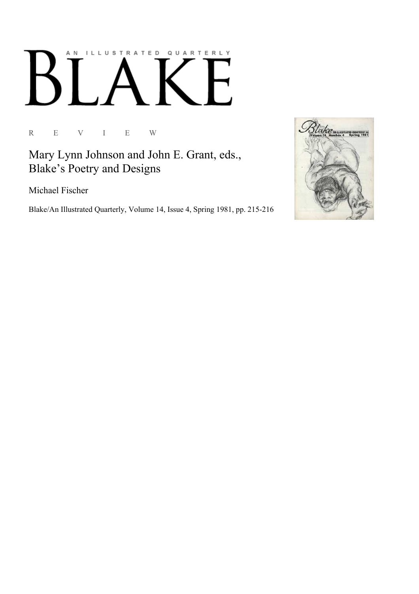## AN ILLUSTRATED QUARTERLY  $\mathsf B$

R E V I E W

Mary Lynn Johnson and John E. Grant, eds., Blake's Poetry and Designs

Michael Fischer

Blake/An Illustrated Quarterly, Volume 14, Issue 4, Spring 1981, pp. 215-216

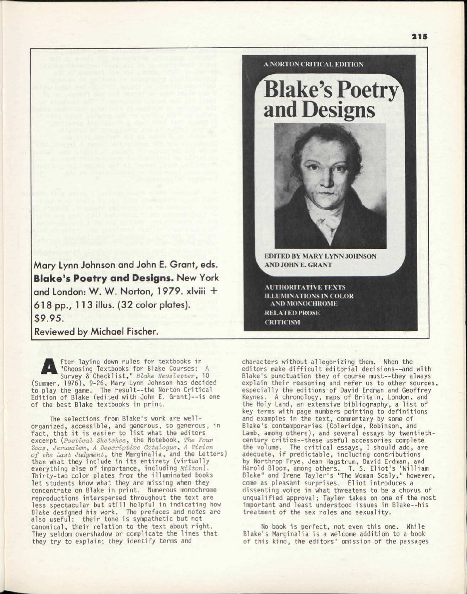Mary Lynn Johnson and John E. Grant, eds. **Blake's Poetry and Designs. New York** and London: W. W. Norton, 1979. xlviii + 61 8 pp., 1 1 3 illus. (32 color plates). \$9.95.

Reviewed by Michael Fischer.

A fter laying down rules for textbooks in "Choosing Textbooks for Blake Courses: A Survey & Checklist," *Blake Newsletter,* 10 (Summer, 1976), 9-26, Mary Lynn Johnson has decided to play the game. The result--the Norton Critical Edition of Blake (edited with John E. Grant)--is one of the best Blake textbooks in print.

The selections from Blake's work are wellorganized, accessible, and generous, so generous, in fact, that it is easier to list what the editors excerpt *{Poetical Sketches,* the Notebook, *The Four Zoas, Jerusalem, A Descriptive Catalogue, A Vision of the Last Judgment,* the Marginalia, and the Letters) than what they include in its entirety (virtually everything else of importance, including *Milton).*  Thirty-two color plates from the illuminated books let students know what they are missing when they concentrate on Blake in print. Numerous monochrome reproductions interspersed throughout the text are less spectacular but still helpful in indicating how Blake designed his work. The prefaces and notes *are*  also useful: their tone is sympathetic but not canonical, their relation to the text about right. They seldom overshadow or complicate the lines that they try to explain; they identify terms and

**AND JOHN E. GRANT** 

**EDITED BY MARY LYNN JOHNSON** 

A NORTON CRITICAL EDITION

and Designs

**Blake's Poetry** 

**AUTHORITATIVE TEXTS ILLUMINATIONS IN COLOR AND MONOCHROME RELATED PROSE CRITICISM** 

characters without allegorizing them. When the editors make difficult editorial decisions—and with Blake's punctuation they of course must—they always explain their reasoning and refer us to other sources, especially the editions-of David Erdman and Geoffrey Keynes. A chronology, maps of Britain, London, and the Holy Land, an extensive bibliography, a list of key terms with page numbers pointing to definitions and examples in the text, commentary by some of Blake's contemporaries (Coleridge, Robinson, and Lamb, among others), and several essays by twentiethcentury critics—these useful accessories complete the volume. The critical essays, I should add, are adequate, if predictable, including contributions by Northrop Frye, Jean Hagstrum, David Erdman, and Harold Bloom, among others. T. S. Eliot's "William Blake" and Irene Tayler's "The Woman Scaly," however, come as pleasant surprises. Eliot introduces a dissenting voice in what threatens to be a chorus of unqualified approval; Tayler takes on one of the most important and least understood issues in Blake—his treatment of the sex roles and sexuality.

No book is perfect, not even this one. While Blake's Marginalia is a welcome addition to a book of this kind, the editors' omission of the passages